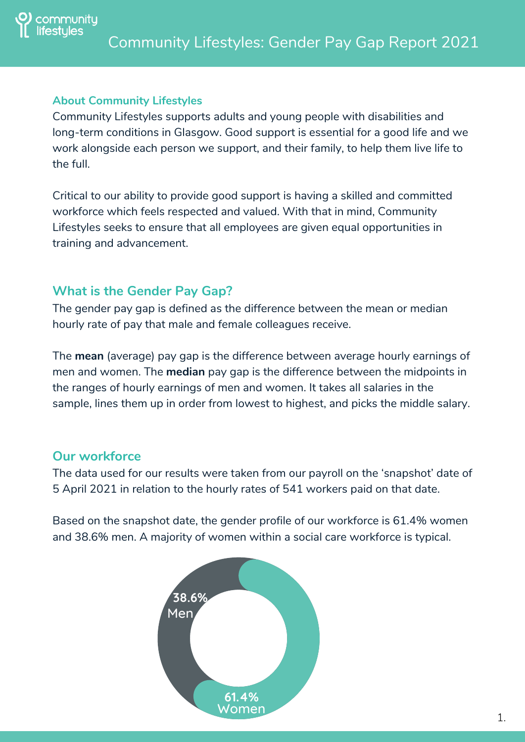

#### **About Community Lifestyles**

Community Lifestyles supports adults and young people with disabilities and long-term conditions in Glasgow. Good support is essential for a good life and we work alongside each person we support, and their family, to help them live life to the full.

Critical to our ability to provide good support is having a skilled and committed workforce which feels respected and valued. With that in mind, Community Lifestyles seeks to ensure that all employees are given equal opportunities in training and advancement.

# **What is the Gender Pay Gap?**

The gender pay gap is defined as the difference between the mean or median hourly rate of pay that male and female colleagues receive.

The **mean** (average) pay gap is the difference between average hourly earnings of men and women. The **median** pay gap is the difference between the midpoints in the ranges of hourly earnings of men and women. It takes all salaries in the sample, lines them up in order from lowest to highest, and picks the middle salary.

# **Our workforce**

The data used for our results were taken from our payroll on the 'snapshot' date of 5 April 2021 in relation to the hourly rates of 541 workers paid on that date.

Based on the snapshot date, the gender profile of our workforce is 61.4% women and 38.6% men. A majority of women within a social care workforce is typical.

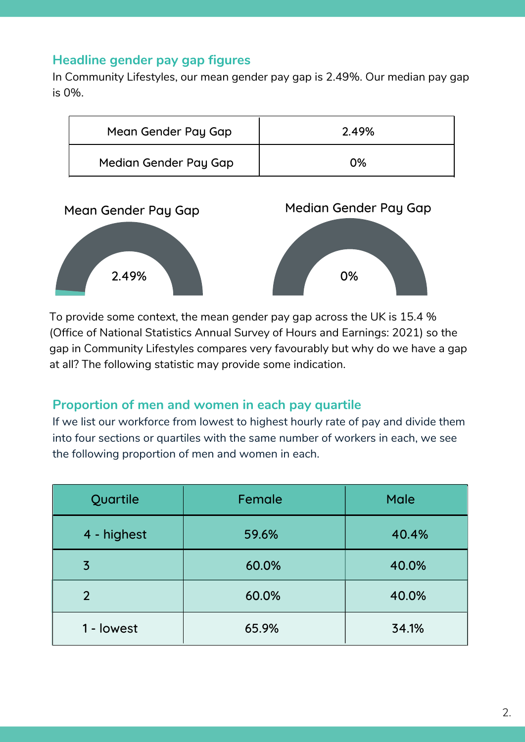### **Headline gender pay gap figures**

In Community Lifestyles, our mean gender pay gap is 2.49%. Our median pay gap is 0%.

| Mean Gender Pay Gap   | 2.49% |
|-----------------------|-------|
| Median Gender Pay Gap | 0%    |



To provide some context, the mean gender pay gap across the UK is 15.4 % (Office of National Statistics Annual Survey of Hours and Earnings: 2021) so the gap in Community Lifestyles compares very favourably but why do we have a gap at all? The following statistic may provide some indication.

#### **Proportion of men and women in each pay quartile**

If we list our workforce from lowest to highest hourly rate of pay and divide them into four sections or quartiles with the same number of workers in each, we see the following proportion of men and women in each.

| Quartile       | Female | <b>Male</b> |
|----------------|--------|-------------|
| 4 - highest    | 59.6%  | 40.4%       |
| $\overline{3}$ | 60.0%  | 40.0%       |
| $\overline{2}$ | 60.0%  | 40.0%       |
| 1 - lowest     | 65.9%  | 34.1%       |